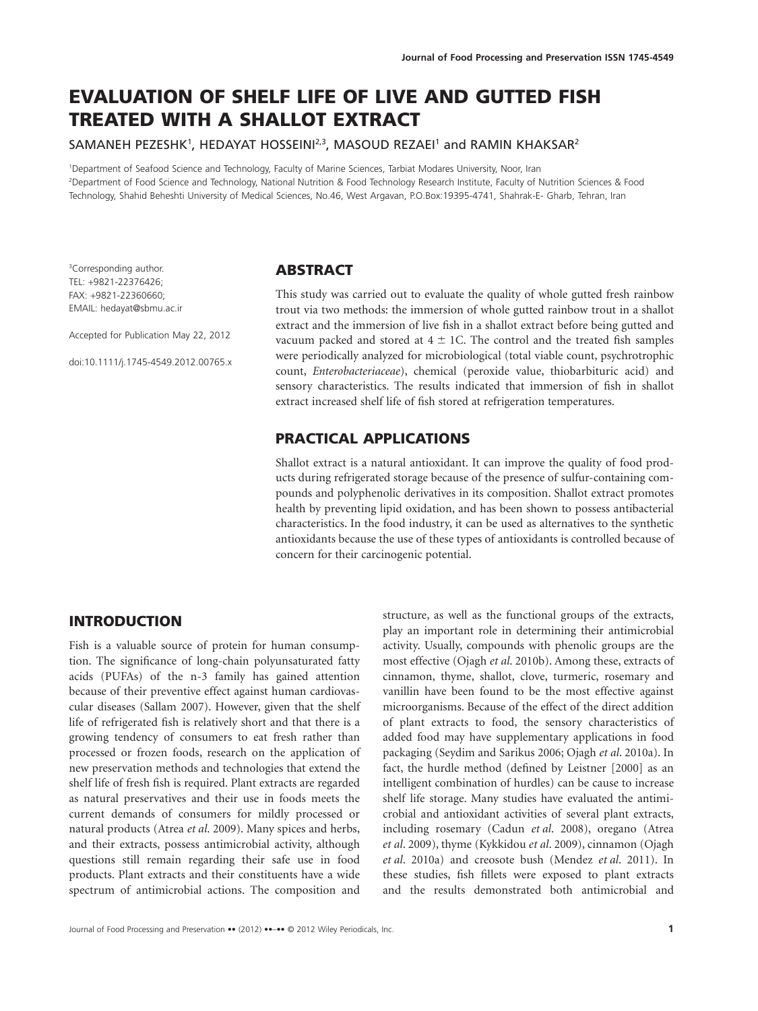# **EVALUATION OF SHELF LIFE OF LIVE AND GUTTED FISH TREATED WITH A SHALLOT EXTRACT**

#### SAMANEH PEZESHK $^1$ , HEDAYAT HOSSEINI $^{2,3}$ , MASOUD REZAEI $^1$  and RAMIN KHAKSAR $^2$

1 Department of Seafood Science and Technology, Faculty of Marine Sciences, Tarbiat Modares University, Noor, Iran 2 Department of Food Science and Technology, National Nutrition & Food Technology Research Institute, Faculty of Nutrition Sciences & Food Technology, Shahid Beheshti University of Medical Sciences, No.46, West Argavan, P.O.Box:19395-4741, Shahrak-E- Gharb, Tehran, Iran

<sup>3</sup>Corresponding author. TEL: +9821-22376426; FAX: +9821-22360660; EMAIL: hedayat@sbmu.ac.ir

Accepted for Publication May 22, 2012

doi:10.1111/j.1745-4549.2012.00765.x

## **ABSTRACT**

This study was carried out to evaluate the quality of whole gutted fresh rainbow trout via two methods: the immersion of whole gutted rainbow trout in a shallot extract and the immersion of live fish in a shallot extract before being gutted and vacuum packed and stored at  $4 \pm 1$ C. The control and the treated fish samples were periodically analyzed for microbiological (total viable count, psychrotrophic count, *Enterobacteriaceae*), chemical (peroxide value, thiobarbituric acid) and sensory characteristics. The results indicated that immersion of fish in shallot extract increased shelf life of fish stored at refrigeration temperatures.

## **PRACTICAL APPLICATIONS**

Shallot extract is a natural antioxidant. It can improve the quality of food products during refrigerated storage because of the presence of sulfur-containing compounds and polyphenolic derivatives in its composition. Shallot extract promotes health by preventing lipid oxidation, and has been shown to possess antibacterial characteristics. In the food industry, it can be used as alternatives to the synthetic antioxidants because the use of these types of antioxidants is controlled because of concern for their carcinogenic potential.

## **INTRODUCTION**

Fish is a valuable source of protein for human consumption. The significance of long-chain polyunsaturated fatty acids (PUFAs) of the n-3 family has gained attention because of their preventive effect against human cardiovascular diseases (Sallam 2007). However, given that the shelf life of refrigerated fish is relatively short and that there is a growing tendency of consumers to eat fresh rather than processed or frozen foods, research on the application of new preservation methods and technologies that extend the shelf life of fresh fish is required. Plant extracts are regarded as natural preservatives and their use in foods meets the current demands of consumers for mildly processed or natural products (Atrea *et al*. 2009). Many spices and herbs, and their extracts, possess antimicrobial activity, although questions still remain regarding their safe use in food products. Plant extracts and their constituents have a wide spectrum of antimicrobial actions. The composition and

structure, as well as the functional groups of the extracts, play an important role in determining their antimicrobial activity. Usually, compounds with phenolic groups are the most effective (Ojagh *et al*. 2010b). Among these, extracts of cinnamon, thyme, shallot, clove, turmeric, rosemary and vanillin have been found to be the most effective against microorganisms. Because of the effect of the direct addition of plant extracts to food, the sensory characteristics of added food may have supplementary applications in food packaging (Seydim and Sarikus 2006; Ojagh *et al*. 2010a). In fact, the hurdle method (defined by Leistner [2000] as an intelligent combination of hurdles) can be cause to increase shelf life storage. Many studies have evaluated the antimicrobial and antioxidant activities of several plant extracts, including rosemary (Cadun *et al*. 2008), oregano (Atrea *et al*. 2009), thyme (Kykkidou *et al*. 2009), cinnamon (Ojagh *et al*. 2010a) and creosote bush (Mendez *et al*. 2011). In these studies, fish fillets were exposed to plant extracts and the results demonstrated both antimicrobial and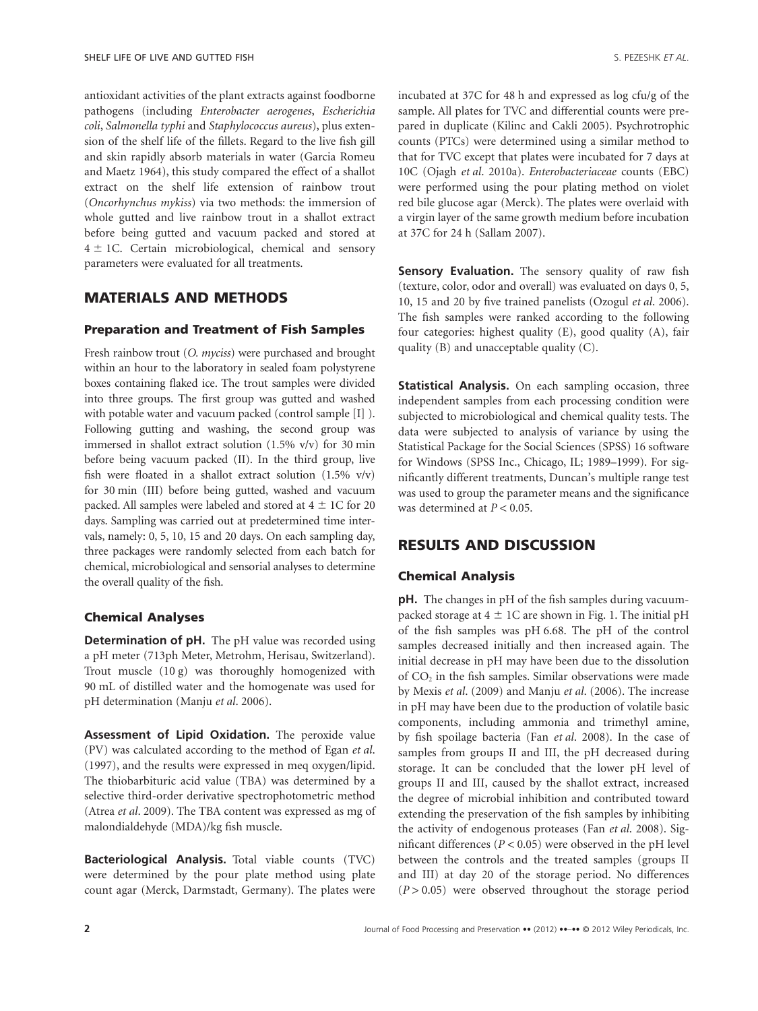antioxidant activities of the plant extracts against foodborne pathogens (including *Enterobacter aerogenes*, *Escherichia coli*, *Salmonella typhi* and *Staphylococcus aureus*), plus extension of the shelf life of the fillets. Regard to the live fish gill and skin rapidly absorb materials in water (Garcia Romeu and Maetz 1964), this study compared the effect of a shallot extract on the shelf life extension of rainbow trout (*Oncorhynchus mykiss*) via two methods: the immersion of whole gutted and live rainbow trout in a shallot extract before being gutted and vacuum packed and stored at  $4 \pm 1$ C. Certain microbiological, chemical and sensory parameters were evaluated for all treatments.

## **MATERIALS AND METHODS**

#### **Preparation and Treatment of Fish Samples**

Fresh rainbow trout (*O. myciss*) were purchased and brought within an hour to the laboratory in sealed foam polystyrene boxes containing flaked ice. The trout samples were divided into three groups. The first group was gutted and washed with potable water and vacuum packed (control sample [I] ). Following gutting and washing, the second group was immersed in shallot extract solution (1.5% v/v) for 30 min before being vacuum packed (II). In the third group, live fish were floated in a shallot extract solution (1.5% v/v) for 30 min (III) before being gutted, washed and vacuum packed. All samples were labeled and stored at  $4\pm10$  for 20 days. Sampling was carried out at predetermined time intervals, namely: 0, 5, 10, 15 and 20 days. On each sampling day, three packages were randomly selected from each batch for chemical, microbiological and sensorial analyses to determine the overall quality of the fish.

#### **Chemical Analyses**

**Determination of pH.** The pH value was recorded using a pH meter (713ph Meter, Metrohm, Herisau, Switzerland). Trout muscle (10 g) was thoroughly homogenized with 90 mL of distilled water and the homogenate was used for pH determination (Manju *et al*. 2006).

**Assessment of Lipid Oxidation.** The peroxide value (PV) was calculated according to the method of Egan *et al*. (1997), and the results were expressed in meq oxygen/lipid. The thiobarbituric acid value (TBA) was determined by a selective third-order derivative spectrophotometric method (Atrea *et al*. 2009). The TBA content was expressed as mg of malondialdehyde (MDA)/kg fish muscle.

**Bacteriological Analysis.** Total viable counts (TVC) were determined by the pour plate method using plate count agar (Merck, Darmstadt, Germany). The plates were

incubated at 37C for 48 h and expressed as log cfu/g of the sample. All plates for TVC and differential counts were prepared in duplicate (Kilinc and Cakli 2005). Psychrotrophic counts (PTCs) were determined using a similar method to that for TVC except that plates were incubated for 7 days at 10C (Ojagh *et al*. 2010a). *Enterobacteriaceae* counts (EBC) were performed using the pour plating method on violet red bile glucose agar (Merck). The plates were overlaid with a virgin layer of the same growth medium before incubation at 37C for 24 h (Sallam 2007).

**Sensory Evaluation.** The sensory quality of raw fish (texture, color, odor and overall) was evaluated on days 0, 5, 10, 15 and 20 by five trained panelists (Ozogul *et al*. 2006). The fish samples were ranked according to the following four categories: highest quality (E), good quality (A), fair quality (B) and unacceptable quality (C).

**Statistical Analysis.** On each sampling occasion, three independent samples from each processing condition were subjected to microbiological and chemical quality tests. The data were subjected to analysis of variance by using the Statistical Package for the Social Sciences (SPSS) 16 software for Windows (SPSS Inc., Chicago, IL; 1989–1999). For significantly different treatments, Duncan's multiple range test was used to group the parameter means and the significance was determined at *P* < 0.05.

## **RESULTS AND DISCUSSION**

#### **Chemical Analysis**

**pH.** The changes in pH of the fish samples during vacuumpacked storage at 4  $\pm$  1C are shown in Fig. 1. The initial pH of the fish samples was pH 6.68. The pH of the control samples decreased initially and then increased again. The initial decrease in pH may have been due to the dissolution of  $CO<sub>2</sub>$  in the fish samples. Similar observations were made by Mexis *et al*. (2009) and Manju *et al*. (2006). The increase in pH may have been due to the production of volatile basic components, including ammonia and trimethyl amine, by fish spoilage bacteria (Fan *et al*. 2008). In the case of samples from groups II and III, the pH decreased during storage. It can be concluded that the lower pH level of groups II and III, caused by the shallot extract, increased the degree of microbial inhibition and contributed toward extending the preservation of the fish samples by inhibiting the activity of endogenous proteases (Fan *et al*. 2008). Significant differences (*P* < 0.05) were observed in the pH level between the controls and the treated samples (groups II and III) at day 20 of the storage period. No differences (*P* > 0.05) were observed throughout the storage period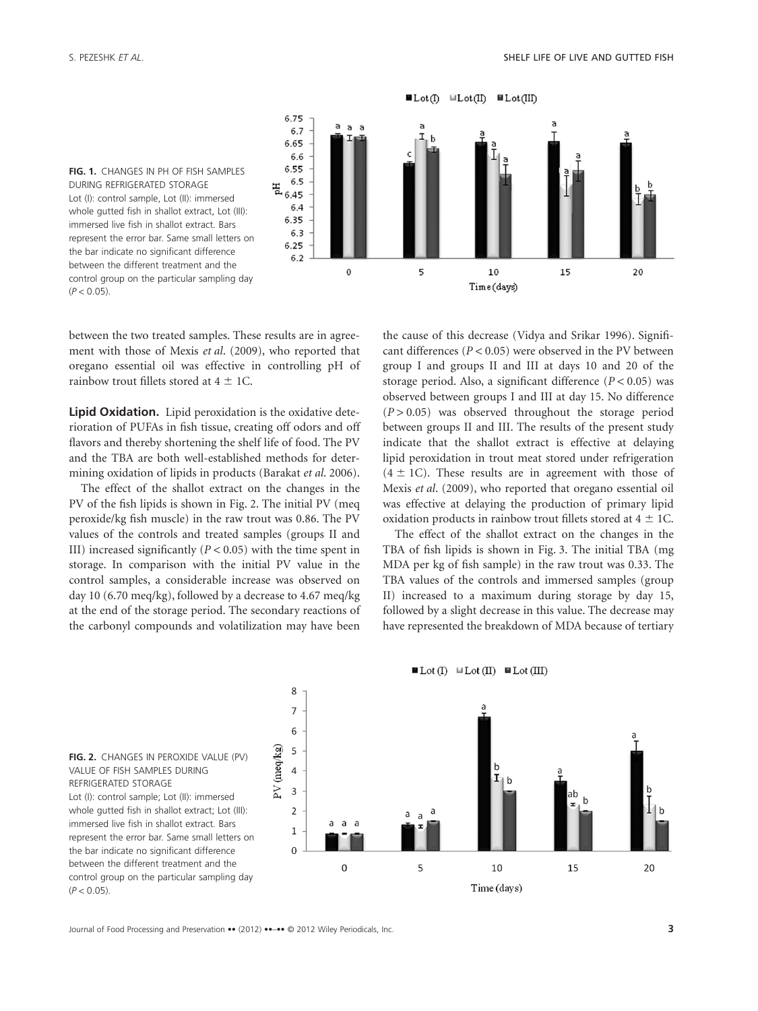



between the two treated samples. These results are in agreement with those of Mexis *et al*. (2009), who reported that oregano essential oil was effective in controlling pH of rainbow trout fillets stored at  $4 \pm 1$ C.

**Lipid Oxidation.** Lipid peroxidation is the oxidative deterioration of PUFAs in fish tissue, creating off odors and off flavors and thereby shortening the shelf life of food. The PV and the TBA are both well-established methods for determining oxidation of lipids in products (Barakat *et al*. 2006).

The effect of the shallot extract on the changes in the PV of the fish lipids is shown in Fig. 2. The initial PV (meq peroxide/kg fish muscle) in the raw trout was 0.86. The PV values of the controls and treated samples (groups II and III) increased significantly  $(P < 0.05)$  with the time spent in storage. In comparison with the initial PV value in the control samples, a considerable increase was observed on day 10 (6.70 meq/kg), followed by a decrease to 4.67 meq/kg at the end of the storage period. The secondary reactions of the carbonyl compounds and volatilization may have been

the cause of this decrease (Vidya and Srikar 1996). Significant differences (*P* < 0.05) were observed in the PV between group I and groups II and III at days 10 and 20 of the storage period. Also, a significant difference (*P* < 0.05) was observed between groups I and III at day 15. No difference (*P* > 0.05) was observed throughout the storage period between groups II and III. The results of the present study indicate that the shallot extract is effective at delaying lipid peroxidation in trout meat stored under refrigeration  $(4 \pm 1)$ . These results are in agreement with those of Mexis *et al*. (2009), who reported that oregano essential oil was effective at delaying the production of primary lipid oxidation products in rainbow trout fillets stored at  $4 \pm 1$ C.

The effect of the shallot extract on the changes in the TBA of fish lipids is shown in Fig. 3. The initial TBA (mg MDA per kg of fish sample) in the raw trout was 0.33. The TBA values of the controls and immersed samples (group II) increased to a maximum during storage by day 15, followed by a slight decrease in this value. The decrease may have represented the breakdown of MDA because of tertiary



 $\blacksquare$  Lot (I)  $\blacksquare$  Lot (II)  $\blacksquare$  Lot (III)

Journal of Food Processing and Preservation **••** (2012) ••–•• © 2012 Wiley Periodicals, Inc. **3**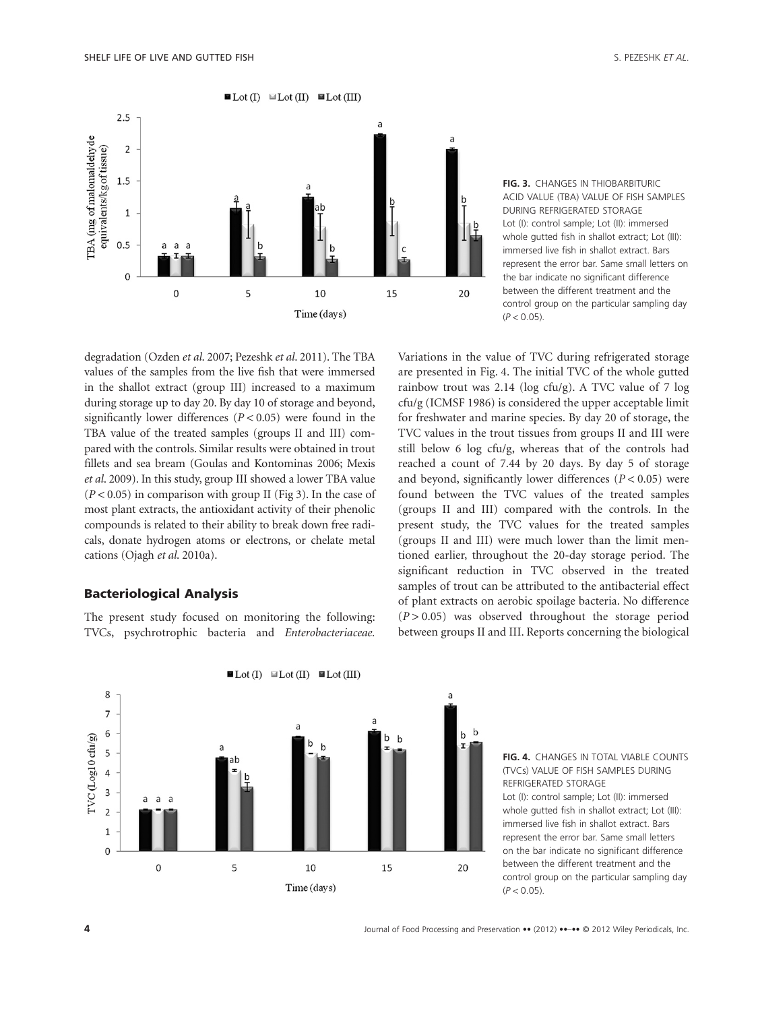



**FIG. 3.** CHANGES IN THIOBARBITURIC ACID VALUE (TBA) VALUE OF FISH SAMPLES DURING REFRIGERATED STORAGE Lot (I): control sample; Lot (II): immersed whole gutted fish in shallot extract; Lot (III): immersed live fish in shallot extract. Bars represent the error bar. Same small letters on the bar indicate no significant difference between the different treatment and the control group on the particular sampling day (*P* < 0.05).

degradation (Ozden *et al*. 2007; Pezeshk *et al*. 2011). The TBA values of the samples from the live fish that were immersed in the shallot extract (group III) increased to a maximum during storage up to day 20. By day 10 of storage and beyond, significantly lower differences (*P* < 0.05) were found in the TBA value of the treated samples (groups II and III) compared with the controls. Similar results were obtained in trout fillets and sea bream (Goulas and Kontominas 2006; Mexis *et al*. 2009). In this study, group III showed a lower TBA value  $(P < 0.05)$  in comparison with group II (Fig 3). In the case of most plant extracts, the antioxidant activity of their phenolic compounds is related to their ability to break down free radicals, donate hydrogen atoms or electrons, or chelate metal cations (Ojagh *et al*. 2010a).

### **Bacteriological Analysis**

The present study focused on monitoring the following: TVCs, psychrotrophic bacteria and *Enterobacteriaceae.*

Variations in the value of TVC during refrigerated storage are presented in Fig. 4. The initial TVC of the whole gutted rainbow trout was 2.14 (log cfu/g). A TVC value of 7 log cfu/g (ICMSF 1986) is considered the upper acceptable limit for freshwater and marine species. By day 20 of storage, the TVC values in the trout tissues from groups II and III were still below 6 log cfu/g, whereas that of the controls had reached a count of 7.44 by 20 days. By day 5 of storage and beyond, significantly lower differences (*P* < 0.05) were found between the TVC values of the treated samples (groups II and III) compared with the controls. In the present study, the TVC values for the treated samples (groups II and III) were much lower than the limit mentioned earlier, throughout the 20-day storage period. The significant reduction in TVC observed in the treated samples of trout can be attributed to the antibacterial effect of plant extracts on aerobic spoilage bacteria. No difference  $(P > 0.05)$  was observed throughout the storage period between groups II and III. Reports concerning the biological



**FIG. 4.** CHANGES IN TOTAL VIABLE COUNTS (TVCs) VALUE OF FISH SAMPLES DURING REFRIGERATED STORAGE Lot (I): control sample; Lot (II): immersed whole gutted fish in shallot extract; Lot (III): immersed live fish in shallot extract. Bars represent the error bar. Same small letters on the bar indicate no significant difference between the different treatment and the control group on the particular sampling day (*P* < 0.05).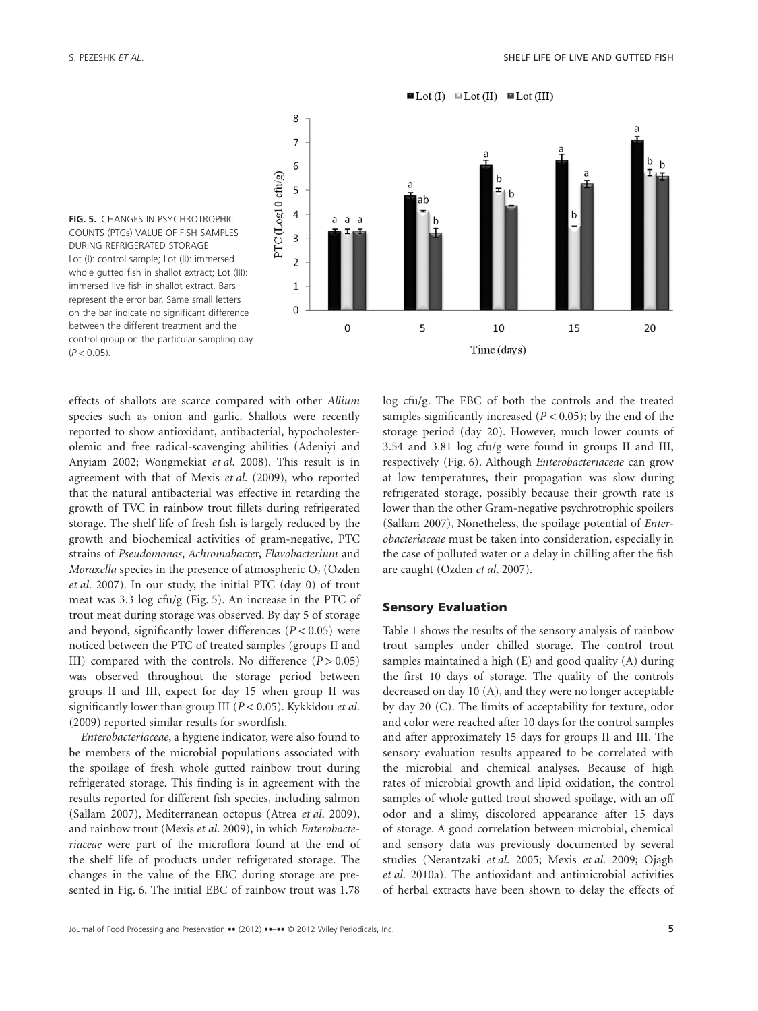



effects of shallots are scarce compared with other *Allium* species such as onion and garlic. Shallots were recently reported to show antioxidant, antibacterial, hypocholesterolemic and free radical-scavenging abilities (Adeniyi and Anyiam 2002; Wongmekiat *et al*. 2008). This result is in agreement with that of Mexis *et al*. (2009), who reported that the natural antibacterial was effective in retarding the growth of TVC in rainbow trout fillets during refrigerated storage. The shelf life of fresh fish is largely reduced by the growth and biochemical activities of gram-negative, PTC strains of *Pseudomonas*, *Achromabacte*r, *Flavobacterium* and *Moraxella* species in the presence of atmospheric O<sub>2</sub> (Ozden *et al*. 2007). In our study, the initial PTC (day 0) of trout meat was 3.3 log cfu/g (Fig. 5). An increase in the PTC of trout meat during storage was observed. By day 5 of storage and beyond, significantly lower differences (*P* < 0.05) were noticed between the PTC of treated samples (groups II and III) compared with the controls. No difference  $(P > 0.05)$ was observed throughout the storage period between groups II and III, expect for day 15 when group II was significantly lower than group III (*P* < 0.05). Kykkidou *et al*. (2009) reported similar results for swordfish.

*Enterobacteriaceae*, a hygiene indicator, were also found to be members of the microbial populations associated with the spoilage of fresh whole gutted rainbow trout during refrigerated storage. This finding is in agreement with the results reported for different fish species, including salmon (Sallam 2007), Mediterranean octopus (Atrea *et al*. 2009), and rainbow trout (Mexis *et al*. 2009), in which *Enterobacteriaceae* were part of the microflora found at the end of the shelf life of products under refrigerated storage. The changes in the value of the EBC during storage are presented in Fig. 6. The initial EBC of rainbow trout was 1.78

log cfu/g. The EBC of both the controls and the treated samples significantly increased (*P* < 0.05); by the end of the storage period (day 20). However, much lower counts of 3.54 and 3.81 log cfu/g were found in groups II and III, respectively (Fig. 6). Although *Enterobacteriaceae* can grow at low temperatures, their propagation was slow during refrigerated storage, possibly because their growth rate is lower than the other Gram-negative psychrotrophic spoilers (Sallam 2007), Nonetheless, the spoilage potential of *Enterobacteriaceae* must be taken into consideration, especially in the case of polluted water or a delay in chilling after the fish are caught (Ozden *et al*. 2007).

#### **Sensory Evaluation**

Table 1 shows the results of the sensory analysis of rainbow trout samples under chilled storage. The control trout samples maintained a high (E) and good quality (A) during the first 10 days of storage. The quality of the controls decreased on day 10 (A), and they were no longer acceptable by day 20 (C). The limits of acceptability for texture, odor and color were reached after 10 days for the control samples and after approximately 15 days for groups II and III. The sensory evaluation results appeared to be correlated with the microbial and chemical analyses. Because of high rates of microbial growth and lipid oxidation, the control samples of whole gutted trout showed spoilage, with an off odor and a slimy, discolored appearance after 15 days of storage. A good correlation between microbial, chemical and sensory data was previously documented by several studies (Nerantzaki *et al*. 2005; Mexis *et al*. 2009; Ojagh *et al*. 2010a). The antioxidant and antimicrobial activities of herbal extracts have been shown to delay the effects of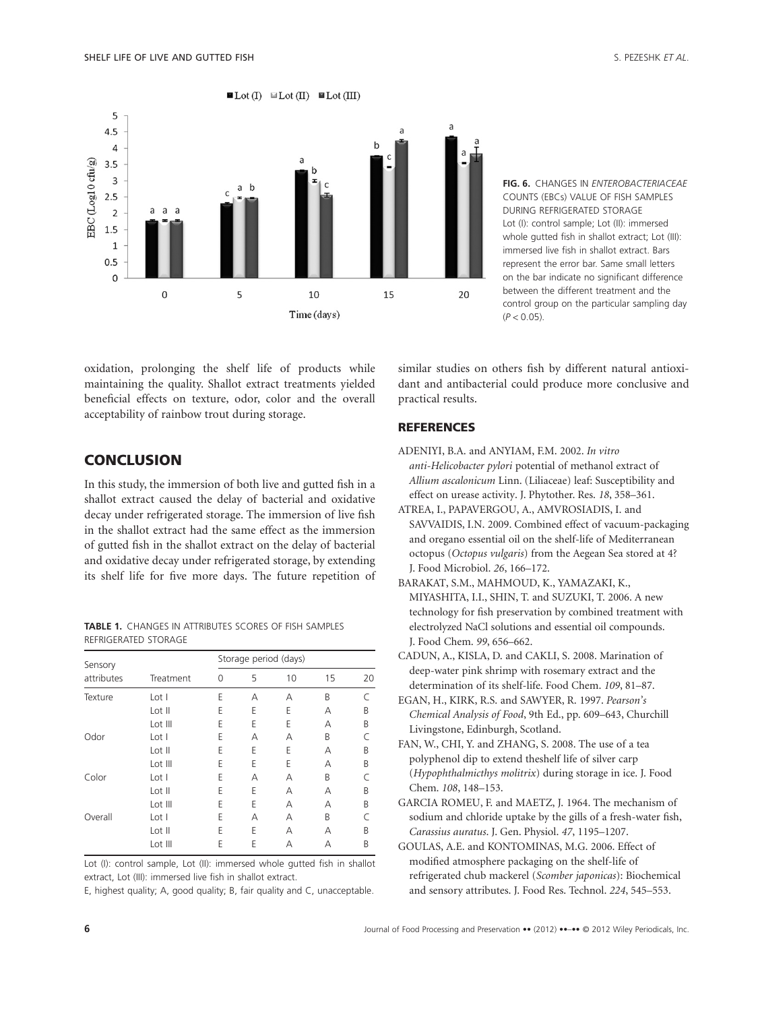

**FIG. 6.** CHANGES IN *ENTEROBACTERIACEAE* COUNTS (EBCs) VALUE OF FISH SAMPLES DURING REFRIGERATED STORAGE Lot (I): control sample; Lot (II): immersed whole gutted fish in shallot extract; Lot (III): immersed live fish in shallot extract. Bars represent the error bar. Same small letters on the bar indicate no significant difference between the different treatment and the control group on the particular sampling day (*P* < 0.05).

oxidation, prolonging the shelf life of products while maintaining the quality. Shallot extract treatments yielded beneficial effects on texture, odor, color and the overall acceptability of rainbow trout during storage.

# **CONCLUSION**

In this study, the immersion of both live and gutted fish in a shallot extract caused the delay of bacterial and oxidative decay under refrigerated storage. The immersion of live fish in the shallot extract had the same effect as the immersion of gutted fish in the shallot extract on the delay of bacterial and oxidative decay under refrigerated storage, by extending its shelf life for five more days. The future repetition of

**TABLE 1.** CHANGES IN ATTRIBUTES SCORES OF FISH SAMPLES REFRIGERATED STORAGE

| Sensory    | Treatment | Storage period (days) |   |    |    |    |
|------------|-----------|-----------------------|---|----|----|----|
| attributes |           | 0                     | 5 | 10 | 15 | 20 |
| Texture    | Lot I     | E                     | А | А  | B  | C  |
|            | Lot II    | E                     | Ε | Ε  | А  | B  |
|            | Lot III   | E                     | Ε | Ε  | А  | B  |
| Odor       | Lot I     | E                     | A | А  | B  | C  |
|            | Lot II    | E                     | E | E  | А  | B  |
|            | Lot III   | E                     | Ε | Ε  | А  | B  |
| Color      | Lot I     | E                     | А | А  | B  |    |
|            | Lot II    | F                     | E | А  | А  | B  |
|            | Lot III   | E                     | E | А  | А  | B  |
| Overall    | Lot I     | E                     | А | А  | B  |    |
|            | Lot II    | E                     | E | А  | А  | B  |
|            | Lot III   | E                     | E | А  | А  | Β  |

Lot (I): control sample, Lot (II): immersed whole gutted fish in shallot extract, Lot (III): immersed live fish in shallot extract.

E, highest quality; A, good quality; B, fair quality and C, unacceptable.

similar studies on others fish by different natural antioxidant and antibacterial could produce more conclusive and practical results.

## **REFERENCES**

- ADENIYI, B.A. and ANYIAM, F.M. 2002. *In vitro anti-Helicobacter pylori* potential of methanol extract of *Allium ascalonicum* Linn. (Liliaceae) leaf: Susceptibility and effect on urease activity. J. Phytother. Res. *18*, 358–361.
- ATREA, I., PAPAVERGOU, A., AMVROSIADIS, I. and SAVVAIDIS, I.N. 2009. Combined effect of vacuum-packaging and oregano essential oil on the shelf-life of Mediterranean octopus (*Octopus vulgaris*) from the Aegean Sea stored at 4? J. Food Microbiol. *26*, 166–172.
- BARAKAT, S.M., MAHMOUD, K., YAMAZAKI, K., MIYASHITA, I.I., SHIN, T. and SUZUKI, T. 2006. A new technology for fish preservation by combined treatment with electrolyzed NaCl solutions and essential oil compounds. J. Food Chem. *99*, 656–662.
- CADUN, A., KISLA, D. and CAKLI, S. 2008. Marination of deep-water pink shrimp with rosemary extract and the determination of its shelf-life. Food Chem. *109*, 81–87.
- EGAN, H., KIRK, R.S. and SAWYER, R. 1997. *Pearson's Chemical Analysis of Food*, 9th Ed., pp. 609–643, Churchill Livingstone, Edinburgh, Scotland.
- FAN, W., CHI, Y. and ZHANG, S. 2008. The use of a tea polyphenol dip to extend theshelf life of silver carp (*Hypophthalmicthys molitrix*) during storage in ice. J. Food Chem. *108*, 148–153.
- GARCIA ROMEU, F. and MAETZ, J. 1964. The mechanism of sodium and chloride uptake by the gills of a fresh-water fish, *Carassius auratus*. J. Gen. Physiol. *47*, 1195–1207.
- GOULAS, A.E. and KONTOMINAS, M.G. 2006. Effect of modified atmosphere packaging on the shelf-life of refrigerated chub mackerel (*Scomber japonicas*): Biochemical and sensory attributes. J. Food Res. Technol. *224*, 545–553.